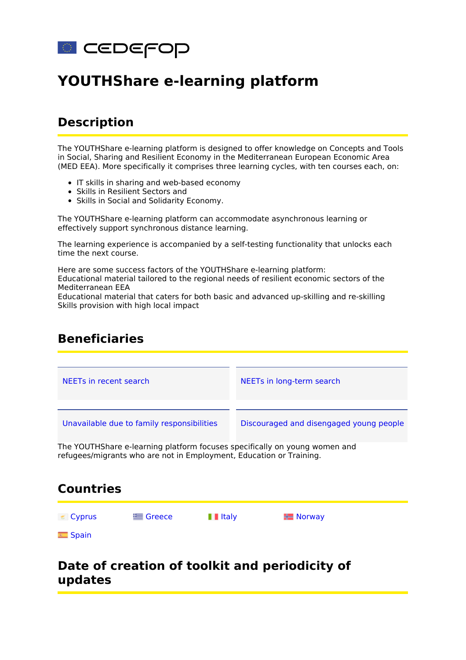

# **YOUTHShare e-learning platform**

#### **Description**

The YOUTHShare e-learning platform is designed to offer knowledge on Concepts and Tools in Social, Sharing and Resilient Economy in the Mediterranean European Economic Area (MED EEA). More specifically it comprises three learning cycles, with ten courses each, on:

- IT skills in sharing and web-based economy
- Skills in Resilient Sectors and
- Skills in Social and Solidarity Economy.

The YOUTHShare e-learning platform can accommodate asynchronous learning or effectively support synchronous distance learning.

The learning experience is accompanied by a self-testing functionality that unlocks each time the next course.

Here are some success factors of the YOUTHShare e-learning platform: Educational material tailored to the regional needs of resilient economic sectors of the Mediterranean EEA

Educational material that caters for both basic and advanced up-skilling and re-skilling Skills provision with high local impact

#### **Beneficiaries**



# [Cyprus](https://www.cedefop.europa.eu/tools/neets/resources?country%255B320%255D=320)  $\blacksquare$  [Greece](https://www.cedefop.europa.eu/tools/neets/resources?country%255B327%255D=327) [Italy](https://www.cedefop.europa.eu/tools/neets/resources?country%255B331%255D=331)  $\blacksquare$  [Norway](https://www.cedefop.europa.eu/tools/neets/resources?country%255B346%255D=346)  $\equiv$  [Spain](https://www.cedefop.europa.eu/tools/neets/resources?country%255B343%255D=343) **Countries**

#### **Date of creation of toolkit and periodicity of updates**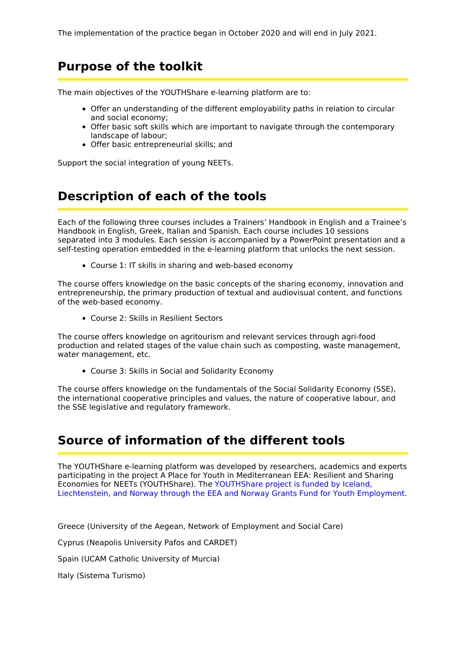The implementation of the practice began in October 2020 and will end in July 2021.

#### **Purpose of the toolkit**

The main objectives of the YOUTHShare e-learning platform are to:

- Offer an understanding of the different employability paths in relation to circular and social economy;
- Offer basic soft skills which are important to navigate through the contemporary landscape of labour;
- Offer basic entrepreneurial skills; and

Support the social integration of young NEETs.

#### **Description of each of the tools**

Each of the following three courses includes a Trainers' Handbook in English and a Trainee's Handbook in English, Greek, Italian and Spanish. Each course includes 10 sessions separated into 3 modules. Each session is accompanied by a PowerPoint presentation and a self-testing operation embedded in the e-learning platform that unlocks the next session.

Course 1: IT skills in sharing and web-based economy

The course offers knowledge on the basic concepts of the sharing economy, innovation and entrepreneurship, the primary production of textual and audiovisual content, and functions of the web-based economy.

Course 2: Skills in Resilient Sectors

The course offers knowledge on agritourism and relevant services through agri-food production and related stages of the value chain such as composting, waste management, water management, etc.

Course 3: Skills in Social and Solidarity Economy

The course offers knowledge on the fundamentals of the Social Solidarity Economy (SSE), the international cooperative principles and values, the nature of cooperative labour, and the SSE legislative and regulatory framework.

#### **Source of information of the different tools**

The YOUTHShare e-learning platform was developed by researchers, academics and experts participating in the project A Place for Youth in Mediterranean EEA: Resilient and Sharing Economies for NEETs [\(YOUTHShare\).](http://www.eeagrants.org/) The YOUTHShare project is funded by Iceland, Liechtenstein, and Norway through the EEA and Norway Grants Fund for Youth Employment.

Greece (University of the Aegean, Network of Employment and Social Care)

Cyprus (Neapolis University Pafos and CARDET)

Spain (UCAM Catholic University of Murcia)

Italy (Sistema Turismo)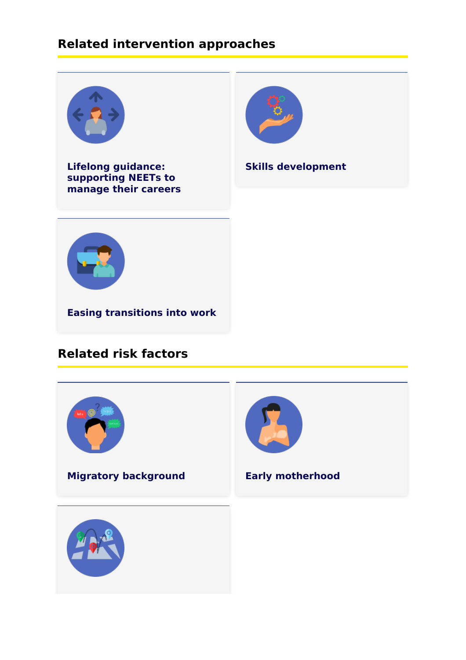### **Related intervention approaches**



**Lifelong guidance: [supporting](https://www.cedefop.europa.eu/en/tools/neets/intervention-approaches/lifelong-guidance-supporting-neets-manage-their-careers) NEETs to manage their careers**



**Skills [development](https://www.cedefop.europa.eu/en/tools/neets/intervention-approaches/skills-development)**



**Easing [transitions](https://www.cedefop.europa.eu/en/tools/neets/intervention-approaches/easing-transitions-work) into work**

## **Related risk factors**